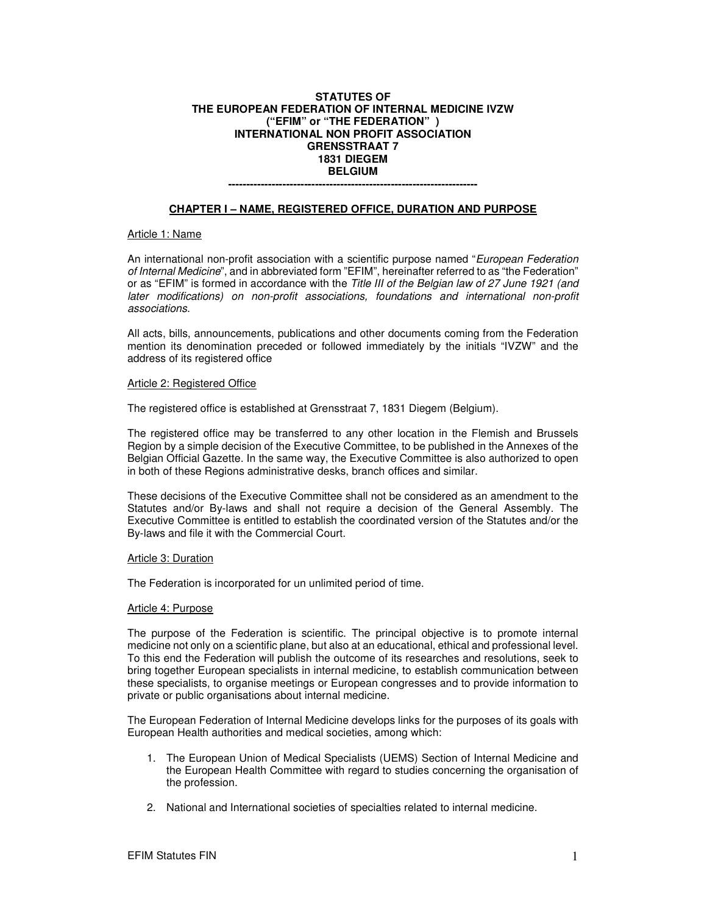# **STATUTES OF THE EUROPEAN FEDERATION OF INTERNAL MEDICINE IVZW ("EFIM" or "THE FEDERATION" ) INTERNATIONAL NON PROFIT ASSOCIATION GRENSSTRAAT 7 1831 DIEGEM BELGIUM**

# **---------------------------------------------------------------------**

# **CHAPTER I – NAME, REGISTERED OFFICE, DURATION AND PURPOSE**

## Article 1: Name

An international non-profit association with a scientific purpose named "European Federation of Internal Medicine", and in abbreviated form "EFIM", hereinafter referred to as "the Federation" or as "EFIM" is formed in accordance with the Title III of the Belgian law of 27 June 1921 (and later modifications) on non-profit associations, foundations and international non-profit associations.

All acts, bills, announcements, publications and other documents coming from the Federation mention its denomination preceded or followed immediately by the initials "IVZW" and the address of its registered office

#### Article 2: Registered Office

The registered office is established at Grensstraat 7, 1831 Diegem (Belgium).

The registered office may be transferred to any other location in the Flemish and Brussels Region by a simple decision of the Executive Committee, to be published in the Annexes of the Belgian Official Gazette. In the same way, the Executive Committee is also authorized to open in both of these Regions administrative desks, branch offices and similar.

These decisions of the Executive Committee shall not be considered as an amendment to the Statutes and/or By-laws and shall not require a decision of the General Assembly. The Executive Committee is entitled to establish the coordinated version of the Statutes and/or the By-laws and file it with the Commercial Court.

#### Article 3: Duration

The Federation is incorporated for un unlimited period of time.

#### Article 4: Purpose

The purpose of the Federation is scientific. The principal objective is to promote internal medicine not only on a scientific plane, but also at an educational, ethical and professional level. To this end the Federation will publish the outcome of its researches and resolutions, seek to bring together European specialists in internal medicine, to establish communication between these specialists, to organise meetings or European congresses and to provide information to private or public organisations about internal medicine.

The European Federation of Internal Medicine develops links for the purposes of its goals with European Health authorities and medical societies, among which:

- 1. The European Union of Medical Specialists (UEMS) Section of Internal Medicine and the European Health Committee with regard to studies concerning the organisation of the profession.
- 2. National and International societies of specialties related to internal medicine.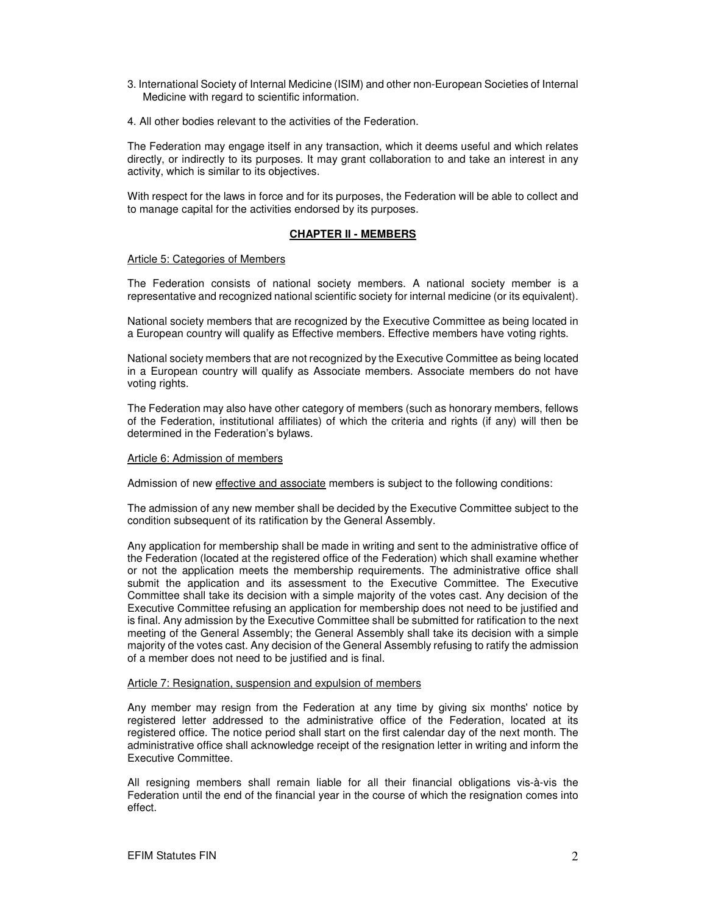- 3. International Society of Internal Medicine (ISIM) and other non-European Societies of Internal Medicine with regard to scientific information.
- 4. All other bodies relevant to the activities of the Federation.

The Federation may engage itself in any transaction, which it deems useful and which relates directly, or indirectly to its purposes. It may grant collaboration to and take an interest in any activity, which is similar to its objectives.

With respect for the laws in force and for its purposes, the Federation will be able to collect and to manage capital for the activities endorsed by its purposes.

# **CHAPTER II - MEMBERS**

#### Article 5: Categories of Members

The Federation consists of national society members. A national society member is a representative and recognized national scientific society for internal medicine (or its equivalent).

National society members that are recognized by the Executive Committee as being located in a European country will qualify as Effective members. Effective members have voting rights.

National society members that are not recognized by the Executive Committee as being located in a European country will qualify as Associate members. Associate members do not have voting rights.

The Federation may also have other category of members (such as honorary members, fellows of the Federation, institutional affiliates) of which the criteria and rights (if any) will then be determined in the Federation's bylaws.

#### Article 6: Admission of members

Admission of new effective and associate members is subject to the following conditions:

The admission of any new member shall be decided by the Executive Committee subject to the condition subsequent of its ratification by the General Assembly.

Any application for membership shall be made in writing and sent to the administrative office of the Federation (located at the registered office of the Federation) which shall examine whether or not the application meets the membership requirements. The administrative office shall submit the application and its assessment to the Executive Committee. The Executive Committee shall take its decision with a simple majority of the votes cast. Any decision of the Executive Committee refusing an application for membership does not need to be justified and is final. Any admission by the Executive Committee shall be submitted for ratification to the next meeting of the General Assembly; the General Assembly shall take its decision with a simple majority of the votes cast. Any decision of the General Assembly refusing to ratify the admission of a member does not need to be justified and is final.

# Article 7: Resignation, suspension and expulsion of members

Any member may resign from the Federation at any time by giving six months' notice by registered letter addressed to the administrative office of the Federation, located at its registered office. The notice period shall start on the first calendar day of the next month. The administrative office shall acknowledge receipt of the resignation letter in writing and inform the Executive Committee.

All resigning members shall remain liable for all their financial obligations vis-à-vis the Federation until the end of the financial year in the course of which the resignation comes into effect.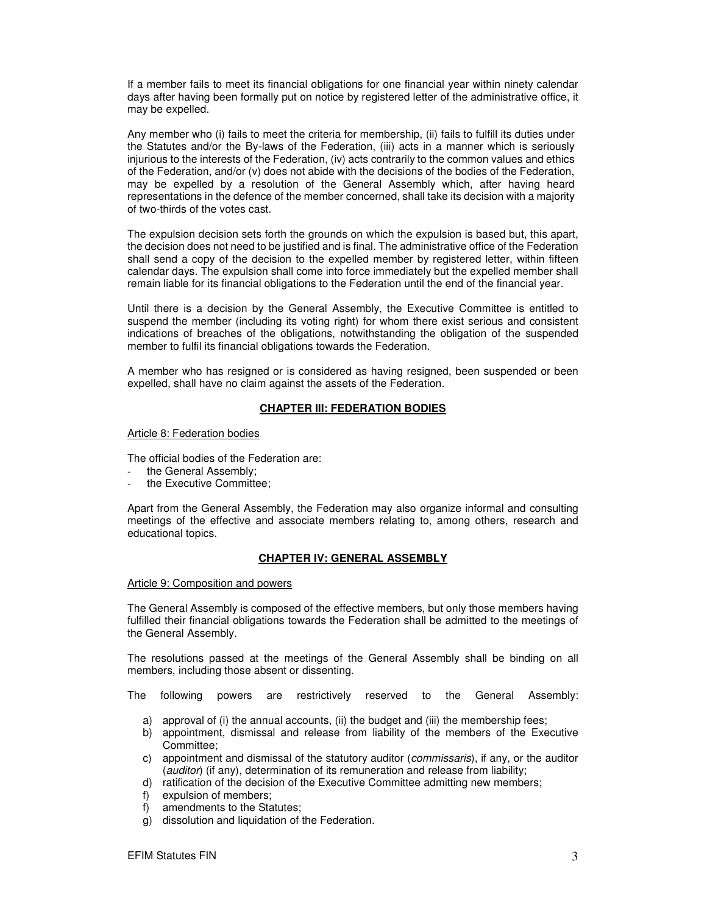If a member fails to meet its financial obligations for one financial year within ninety calendar days after having been formally put on notice by registered letter of the administrative office, it may be expelled.

Any member who (i) fails to meet the criteria for membership, (ii) fails to fulfill its duties under the Statutes and/or the By-laws of the Federation, (iii) acts in a manner which is seriously injurious to the interests of the Federation, (iv) acts contrarily to the common values and ethics of the Federation, and/or (v) does not abide with the decisions of the bodies of the Federation, may be expelled by a resolution of the General Assembly which, after having heard representations in the defence of the member concerned, shall take its decision with a majority of two-thirds of the votes cast.

The expulsion decision sets forth the grounds on which the expulsion is based but, this apart, the decision does not need to be justified and is final. The administrative office of the Federation shall send a copy of the decision to the expelled member by registered letter, within fifteen calendar days. The expulsion shall come into force immediately but the expelled member shall remain liable for its financial obligations to the Federation until the end of the financial year.

Until there is a decision by the General Assembly, the Executive Committee is entitled to suspend the member (including its voting right) for whom there exist serious and consistent indications of breaches of the obligations, notwithstanding the obligation of the suspended member to fulfil its financial obligations towards the Federation.

A member who has resigned or is considered as having resigned, been suspended or been expelled, shall have no claim against the assets of the Federation.

#### **CHAPTER III: FEDERATION BODIES**

Article 8: Federation bodies

The official bodies of the Federation are:

- the General Assembly;
- the Executive Committee;

Apart from the General Assembly, the Federation may also organize informal and consulting meetings of the effective and associate members relating to, among others, research and educational topics.

# **CHAPTER IV: GENERAL ASSEMBLY**

#### Article 9: Composition and powers

The General Assembly is composed of the effective members, but only those members having fulfilled their financial obligations towards the Federation shall be admitted to the meetings of the General Assembly.

The resolutions passed at the meetings of the General Assembly shall be binding on all members, including those absent or dissenting.

The following powers are restrictively reserved to the General Assembly:

- a) approval of (i) the annual accounts, (ii) the budget and (iii) the membership fees;
- b) appointment, dismissal and release from liability of the members of the Executive Committee;
- c) appointment and dismissal of the statutory auditor (commissaris), if any, or the auditor (auditor) (if any), determination of its remuneration and release from liability;
- d) ratification of the decision of the Executive Committee admitting new members;
- f) expulsion of members;
- f) amendments to the Statutes;
- g) dissolution and liquidation of the Federation.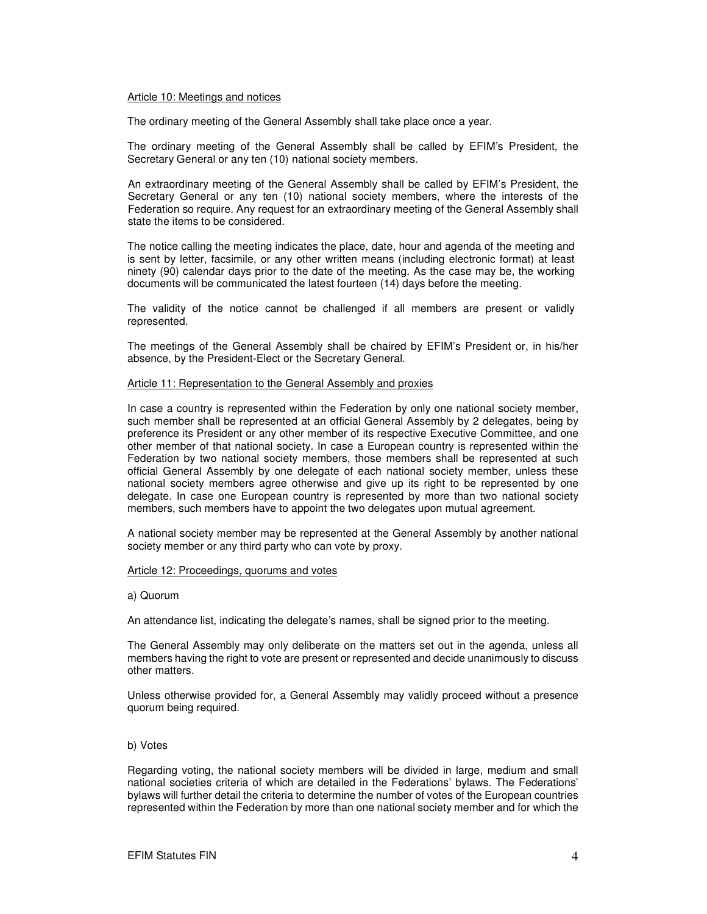#### Article 10: Meetings and notices

The ordinary meeting of the General Assembly shall take place once a year.

The ordinary meeting of the General Assembly shall be called by EFIM's President, the Secretary General or any ten (10) national society members.

An extraordinary meeting of the General Assembly shall be called by EFIM's President, the Secretary General or any ten (10) national society members, where the interests of the Federation so require. Any request for an extraordinary meeting of the General Assembly shall state the items to be considered.

The notice calling the meeting indicates the place, date, hour and agenda of the meeting and is sent by letter, facsimile, or any other written means (including electronic format) at least ninety (90) calendar days prior to the date of the meeting. As the case may be, the working documents will be communicated the latest fourteen (14) days before the meeting.

The validity of the notice cannot be challenged if all members are present or validly represented.

The meetings of the General Assembly shall be chaired by EFIM's President or, in his/her absence, by the President-Elect or the Secretary General.

#### Article 11: Representation to the General Assembly and proxies

In case a country is represented within the Federation by only one national society member, such member shall be represented at an official General Assembly by 2 delegates, being by preference its President or any other member of its respective Executive Committee, and one other member of that national society. In case a European country is represented within the Federation by two national society members, those members shall be represented at such official General Assembly by one delegate of each national society member, unless these national society members agree otherwise and give up its right to be represented by one delegate. In case one European country is represented by more than two national society members, such members have to appoint the two delegates upon mutual agreement.

A national society member may be represented at the General Assembly by another national society member or any third party who can vote by proxy.

## Article 12: Proceedings, quorums and votes

#### a) Quorum

An attendance list, indicating the delegate's names, shall be signed prior to the meeting.

The General Assembly may only deliberate on the matters set out in the agenda, unless all members having the right to vote are present or represented and decide unanimously to discuss other matters.

Unless otherwise provided for, a General Assembly may validly proceed without a presence quorum being required.

#### b) Votes

Regarding voting, the national society members will be divided in large, medium and small national societies criteria of which are detailed in the Federations' bylaws. The Federations' bylaws will further detail the criteria to determine the number of votes of the European countries represented within the Federation by more than one national society member and for which the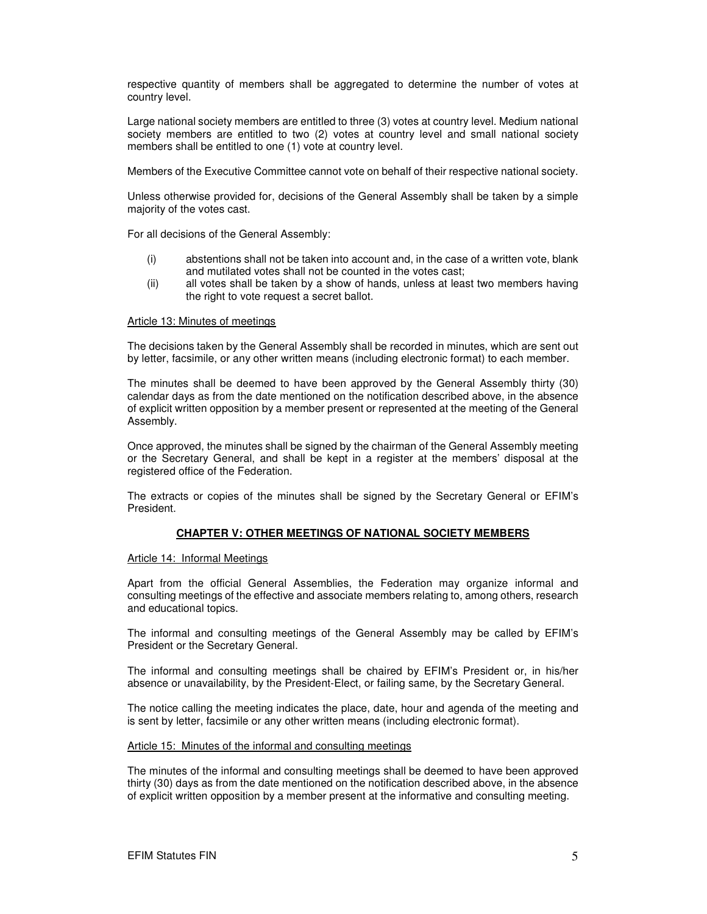respective quantity of members shall be aggregated to determine the number of votes at country level.

Large national society members are entitled to three (3) votes at country level. Medium national society members are entitled to two (2) votes at country level and small national society members shall be entitled to one (1) vote at country level.

Members of the Executive Committee cannot vote on behalf of their respective national society.

Unless otherwise provided for, decisions of the General Assembly shall be taken by a simple majority of the votes cast.

For all decisions of the General Assembly:

- (i) abstentions shall not be taken into account and, in the case of a written vote, blank and mutilated votes shall not be counted in the votes cast;
- (ii) all votes shall be taken by a show of hands, unless at least two members having the right to vote request a secret ballot.

#### Article 13: Minutes of meetings

The decisions taken by the General Assembly shall be recorded in minutes, which are sent out by letter, facsimile, or any other written means (including electronic format) to each member.

The minutes shall be deemed to have been approved by the General Assembly thirty (30) calendar days as from the date mentioned on the notification described above, in the absence of explicit written opposition by a member present or represented at the meeting of the General Assembly.

Once approved, the minutes shall be signed by the chairman of the General Assembly meeting or the Secretary General, and shall be kept in a register at the members' disposal at the registered office of the Federation.

The extracts or copies of the minutes shall be signed by the Secretary General or EFIM's President.

# **CHAPTER V: OTHER MEETINGS OF NATIONAL SOCIETY MEMBERS**

# Article 14: Informal Meetings

Apart from the official General Assemblies, the Federation may organize informal and consulting meetings of the effective and associate members relating to, among others, research and educational topics.

The informal and consulting meetings of the General Assembly may be called by EFIM's President or the Secretary General.

The informal and consulting meetings shall be chaired by EFIM's President or, in his/her absence or unavailability, by the President-Elect, or failing same, by the Secretary General.

The notice calling the meeting indicates the place, date, hour and agenda of the meeting and is sent by letter, facsimile or any other written means (including electronic format).

#### Article 15: Minutes of the informal and consulting meetings

The minutes of the informal and consulting meetings shall be deemed to have been approved thirty (30) days as from the date mentioned on the notification described above, in the absence of explicit written opposition by a member present at the informative and consulting meeting.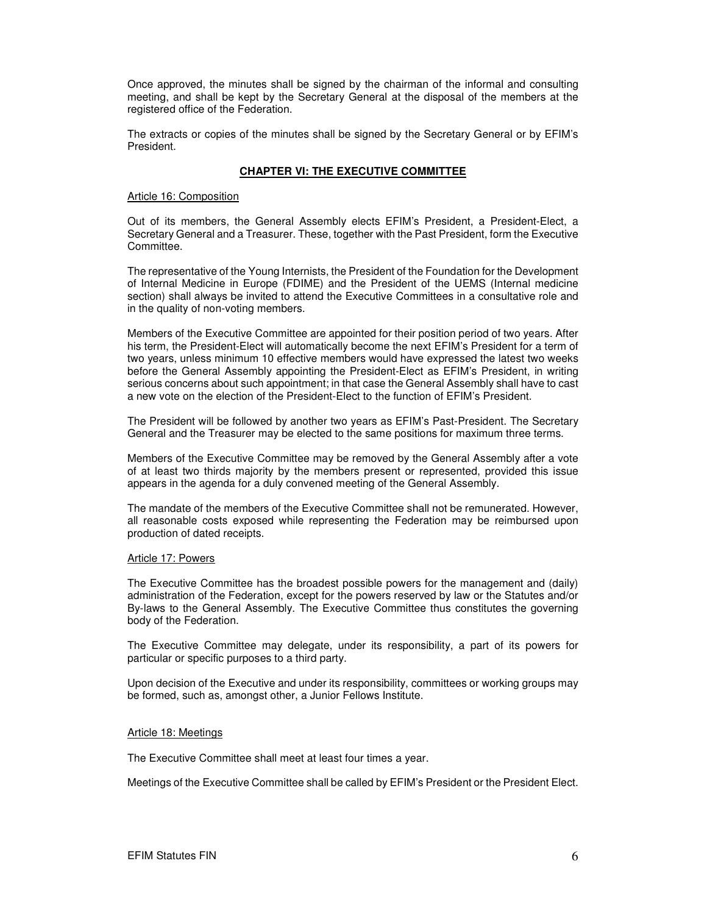Once approved, the minutes shall be signed by the chairman of the informal and consulting meeting, and shall be kept by the Secretary General at the disposal of the members at the registered office of the Federation.

The extracts or copies of the minutes shall be signed by the Secretary General or by EFIM's President.

# **CHAPTER VI: THE EXECUTIVE COMMITTEE**

#### Article 16: Composition

Out of its members, the General Assembly elects EFIM's President, a President-Elect, a Secretary General and a Treasurer. These, together with the Past President, form the Executive Committee.

The representative of the Young Internists, the President of the Foundation for the Development of Internal Medicine in Europe (FDIME) and the President of the UEMS (Internal medicine section) shall always be invited to attend the Executive Committees in a consultative role and in the quality of non-voting members.

Members of the Executive Committee are appointed for their position period of two years. After his term, the President-Elect will automatically become the next EFIM's President for a term of two years, unless minimum 10 effective members would have expressed the latest two weeks before the General Assembly appointing the President-Elect as EFIM's President, in writing serious concerns about such appointment; in that case the General Assembly shall have to cast a new vote on the election of the President-Elect to the function of EFIM's President.

The President will be followed by another two years as EFIM's Past-President. The Secretary General and the Treasurer may be elected to the same positions for maximum three terms.

Members of the Executive Committee may be removed by the General Assembly after a vote of at least two thirds majority by the members present or represented, provided this issue appears in the agenda for a duly convened meeting of the General Assembly.

The mandate of the members of the Executive Committee shall not be remunerated. However, all reasonable costs exposed while representing the Federation may be reimbursed upon production of dated receipts.

# Article 17: Powers

The Executive Committee has the broadest possible powers for the management and (daily) administration of the Federation, except for the powers reserved by law or the Statutes and/or By-laws to the General Assembly. The Executive Committee thus constitutes the governing body of the Federation.

The Executive Committee may delegate, under its responsibility, a part of its powers for particular or specific purposes to a third party.

Upon decision of the Executive and under its responsibility, committees or working groups may be formed, such as, amongst other, a Junior Fellows Institute.

#### Article 18: Meetings

The Executive Committee shall meet at least four times a year.

Meetings of the Executive Committee shall be called by EFIM's President or the President Elect.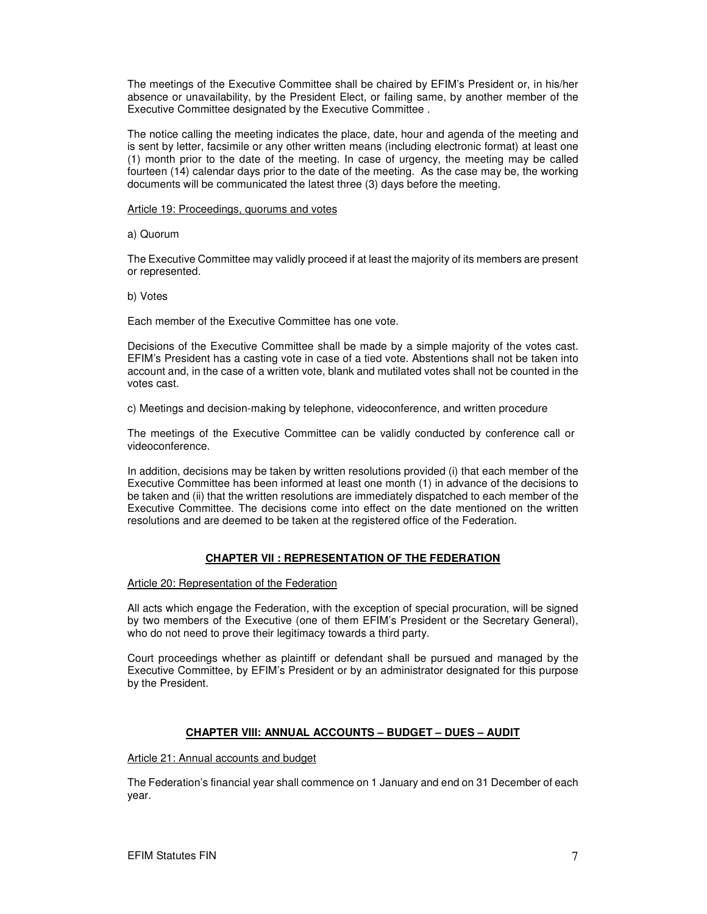The meetings of the Executive Committee shall be chaired by EFIM's President or, in his/her absence or unavailability, by the President Elect, or failing same, by another member of the Executive Committee designated by the Executive Committee .

The notice calling the meeting indicates the place, date, hour and agenda of the meeting and is sent by letter, facsimile or any other written means (including electronic format) at least one (1) month prior to the date of the meeting. In case of urgency, the meeting may be called fourteen (14) calendar days prior to the date of the meeting. As the case may be, the working documents will be communicated the latest three (3) days before the meeting.

## Article 19: Proceedings, quorums and votes

a) Quorum

The Executive Committee may validly proceed if at least the majority of its members are present or represented.

b) Votes

Each member of the Executive Committee has one vote.

Decisions of the Executive Committee shall be made by a simple majority of the votes cast. EFIM's President has a casting vote in case of a tied vote. Abstentions shall not be taken into account and, in the case of a written vote, blank and mutilated votes shall not be counted in the votes cast.

c) Meetings and decision-making by telephone, videoconference, and written procedure

The meetings of the Executive Committee can be validly conducted by conference call or videoconference.

In addition, decisions may be taken by written resolutions provided (i) that each member of the Executive Committee has been informed at least one month (1) in advance of the decisions to be taken and (ii) that the written resolutions are immediately dispatched to each member of the Executive Committee. The decisions come into effect on the date mentioned on the written resolutions and are deemed to be taken at the registered office of the Federation.

# **CHAPTER VII : REPRESENTATION OF THE FEDERATION**

Article 20: Representation of the Federation

All acts which engage the Federation, with the exception of special procuration, will be signed by two members of the Executive (one of them EFIM's President or the Secretary General), who do not need to prove their legitimacy towards a third party.

Court proceedings whether as plaintiff or defendant shall be pursued and managed by the Executive Committee, by EFIM's President or by an administrator designated for this purpose by the President.

# **CHAPTER VIII: ANNUAL ACCOUNTS – BUDGET – DUES – AUDIT**

# Article 21: Annual accounts and budget

The Federation's financial year shall commence on 1 January and end on 31 December of each year.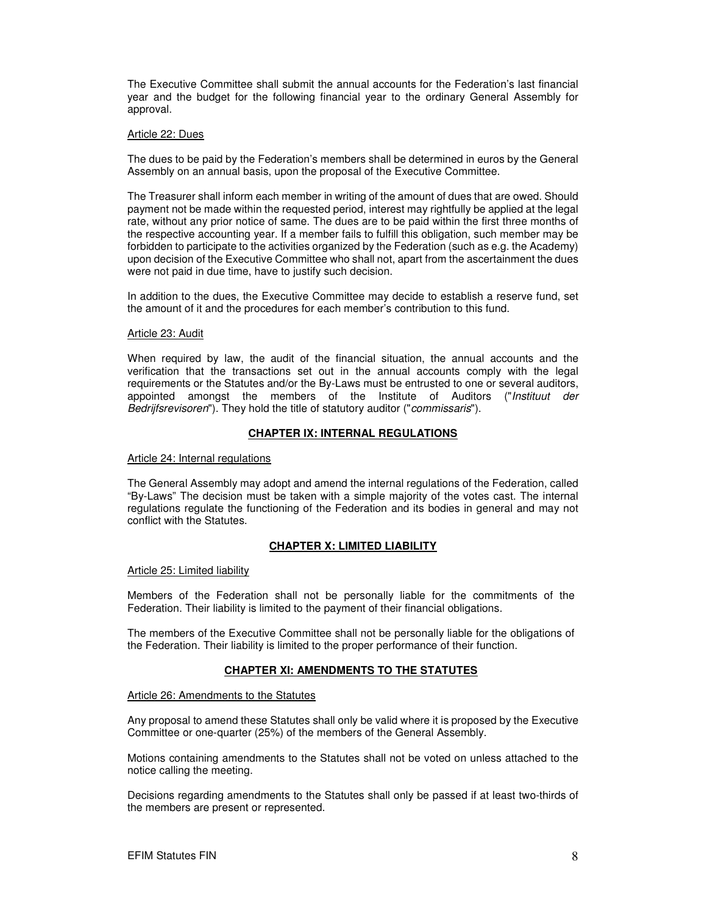The Executive Committee shall submit the annual accounts for the Federation's last financial year and the budget for the following financial year to the ordinary General Assembly for approval.

## Article 22: Dues

The dues to be paid by the Federation's members shall be determined in euros by the General Assembly on an annual basis, upon the proposal of the Executive Committee.

The Treasurer shall inform each member in writing of the amount of dues that are owed. Should payment not be made within the requested period, interest may rightfully be applied at the legal rate, without any prior notice of same. The dues are to be paid within the first three months of the respective accounting year. If a member fails to fulfill this obligation, such member may be forbidden to participate to the activities organized by the Federation (such as e.g. the Academy) upon decision of the Executive Committee who shall not, apart from the ascertainment the dues were not paid in due time, have to justify such decision.

In addition to the dues, the Executive Committee may decide to establish a reserve fund, set the amount of it and the procedures for each member's contribution to this fund.

#### Article 23: Audit

When required by law, the audit of the financial situation, the annual accounts and the verification that the transactions set out in the annual accounts comply with the legal requirements or the Statutes and/or the By-Laws must be entrusted to one or several auditors, appointed amongst the members of the Institute of Auditors ("Instituut der Bedrijfsrevisoren"). They hold the title of statutory auditor ("commissaris").

# **CHAPTER IX: INTERNAL REGULATIONS**

#### Article 24: Internal regulations

The General Assembly may adopt and amend the internal regulations of the Federation, called "By-Laws" The decision must be taken with a simple majority of the votes cast. The internal regulations regulate the functioning of the Federation and its bodies in general and may not conflict with the Statutes.

# **CHAPTER X: LIMITED LIABILITY**

# Article 25: Limited liability

Members of the Federation shall not be personally liable for the commitments of the Federation. Their liability is limited to the payment of their financial obligations.

The members of the Executive Committee shall not be personally liable for the obligations of the Federation. Their liability is limited to the proper performance of their function.

# **CHAPTER XI: AMENDMENTS TO THE STATUTES**

#### Article 26: Amendments to the Statutes

Any proposal to amend these Statutes shall only be valid where it is proposed by the Executive Committee or one-quarter (25%) of the members of the General Assembly.

Motions containing amendments to the Statutes shall not be voted on unless attached to the notice calling the meeting.

Decisions regarding amendments to the Statutes shall only be passed if at least two-thirds of the members are present or represented.